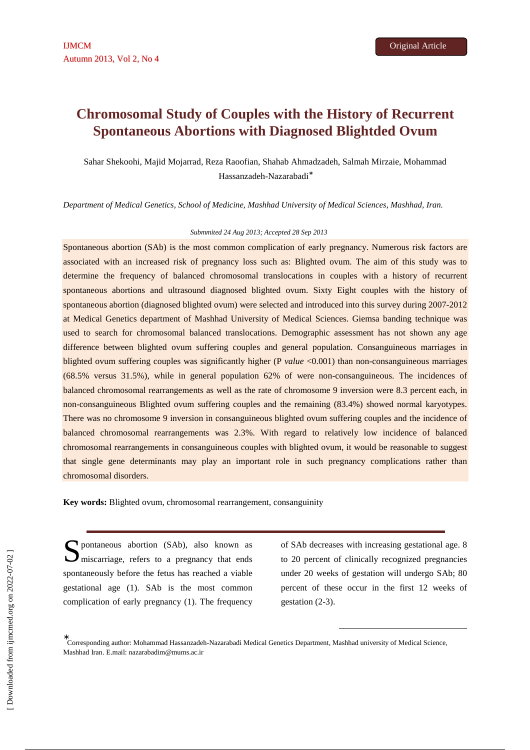# **Chromosomal Study of Couples with the History of Recurrent Spontaneous Abortions with Diagnosed Blightded Ovum**

Sahar Shekoohi, Majid Mojarrad, Reza Raoofian, Shahab Ahmadzadeh, Salmah Mirzaie, Mohammad Hassanzadeh-Nazarabadi<sup>∗</sup>

*Department of Medical Genetics, School of Medicine, Mashhad University of Medical Sciences, Mashhad, Iran.*

#### *Submmited 24 Aug 2013; Accepted 28 Sep 2013*

Spontaneous abortion (SAb) is the most common complication of early pregnancy. Numerous risk factors are associated with an increased risk of pregnancy loss such as: Blighted ovum. The aim of this study was to determine the frequency of balanced chromosomal translocations in couples with a history of recurrent spontaneous abortions and ultrasound diagnosed blighted ovum. Sixty Eight couples with the history of spontaneous abortion (diagnosed blighted ovum) were selected and introduced into this survey during 2007-2012 at Medical Genetics department of Mashhad University of Medical Sciences. Giemsa banding technique was used to search for chromosomal balanced translocations. Demographic assessment has not shown any age difference between blighted ovum suffering couples and general population. Consanguineous marriages in blighted ovum suffering couples was significantly higher (P *value* <0.001) than non-consanguineous marriages (68.5% versus 31.5%), while in general population 62% of were non-consanguineous. The incidences of balanced chromosomal rearrangements as well as the rate of chromosome 9 inversion were 8.3 percent each, in non-consanguineous Blighted ovum suffering couples and the remaining (83.4%) showed normal karyotypes. There was no chromosome 9 inversion in consanguineous blighted ovum suffering couples and the incidence of balanced chromosomal rearrangements was 2.3%. With regard to relatively low incidence of balanced chromosomal rearrangements in consanguineous couples with blighted ovum, it would be reasonable to suggest that single gene determinants may play an important role in such pregnancy complications rather than chromosomal disorders.

**Key words:** Blighted ovum, chromosomal rearrangement, consanguinity

S pontaneous abortion (SAb), also known as<br>
miscarriage, refers to a pregnancy that ends miscarriage, refers to a pregnancy that ends spontaneously before the fetus has reached a viable gestational age (1). SAb is the most common complication of early pregnancy (1). The frequency

of SAb decreases with increasing gestational age. 8 to 20 percent of clinically recognized pregnancies under 20 weeks of gestation will undergo SAb; 80 percent of these occur in the first 12 weeks of gestation (2-3).

-

<sup>∗</sup> Corresponding author: Mohammad Hassanzadeh-Nazarabadi Medical Genetics Department, Mashhad university of Medical Science, Mashhad Iran. E.mail: nazarabadim@mums.ac.ir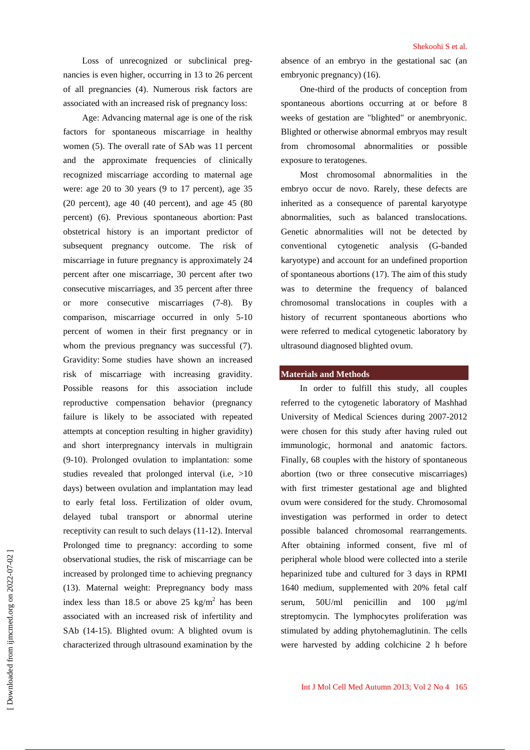Loss of unrecognized or subclinical pregnancies is even higher, occurring in 13 to 26 percent of all pregnancies (4). Numerous risk factors are associated with an increased risk of pregnancy loss:

Age: Advancing maternal age is one of the risk factors for spontaneous miscarriage in healthy women (5). The overall rate of SAb was 11 percent and the approximate frequencies of clinically recognized miscarriage according to maternal age were: age 20 to 30 years (9 to 17 percent), age 35 (20 percent), age 40 (40 percent), and age 45 (80 percent) (6). Previous spontaneous abortion: Past obstetrical history is an important predictor of subsequent pregnancy outcome. The risk of miscarriage in future pregnancy is approximately 24 percent after one miscarriage, 30 percent after two consecutive miscarriages, and 35 percent after three or more consecutive miscarriages (7-8). By comparison, miscarriage occurred in only 5-10 percent of women in their first pregnancy or in whom the previous pregnancy was successful  $(7)$ . Gravidity: Some studies have shown an increased risk of miscarriage with increasing gravidity. Possible reasons for this association include reproductive compensation behavior (pregnancy failure is likely to be associated with repeated attempts at conception resulting in higher gravidity) and short interpregnancy intervals in multigrain (9-10). Prolonged ovulation to implantation: some studies revealed that prolonged interval (i.e,  $>10$ ) days) between ovulation and implantation may lead to early fetal loss. Fertilization of older ovum, delayed tubal transport or abnormal uterine receptivity can result to such delays (11-12). Interval Prolonged time to pregnancy: according to some observational studies, the risk of miscarriage can be increased by prolonged time to achieving pregnancy (13). Maternal weight: Prepregnancy body mass index less than 18.5 or above 25 kg/m<sup>2</sup> has been associated with an increased risk of infertility and SAb (14-15). Blighted ovum: A blighted ovum is characterized through ultrasound examination by the

absence of an embryo in the gestational sac (an embryonic pregnancy) (16).

One-third of the products of conception from spontaneous abortions occurring at or before 8 weeks of gestation are "blighted" or anembryonic. Blighted or otherwise abnormal embryos may result from chromosomal abnormalities or possible exposure to teratogenes.

Most chromosomal abnormalities in the embryo occur de novo. Rarely, these defects are inherited as a consequence of parental karyotype abnormalities, such as balanced translocations. Genetic abnormalities will not be detected by conventional cytogenetic analysis (G-banded karyotype) and account for an undefined proportion of spontaneous abortions (17). The aim of this study was to determine the frequency of balanced chromosomal translocations in couples with a history of recurrent spontaneous abortions who were referred to medical cytogenetic laboratory by ultrasound diagnosed blighted ovum.

# **Materials and Methods**

In order to fulfill this study, all couples referred to the cytogenetic laboratory of Mashhad University of Medical Sciences during 2007-2012 were chosen for this study after having ruled out immunologic, hormonal and anatomic factors. Finally, 68 couples with the history of spontaneous abortion (two or three consecutive miscarriages) with first trimester gestational age and blighted ovum were considered for the study. Chromosomal investigation was performed in order to detect possible balanced chromosomal rearrangements. After obtaining informed consent, five ml of peripheral whole blood were collected into a sterile heparinized tube and cultured for 3 days in RPMI 1640 medium, supplemented with 20% fetal calf serum, 50U/ml penicillin and 100 µg/ml streptomycin. The lymphocytes proliferation was stimulated by adding phytohemaglutinin. The cells were harvested by adding colchicine 2 h before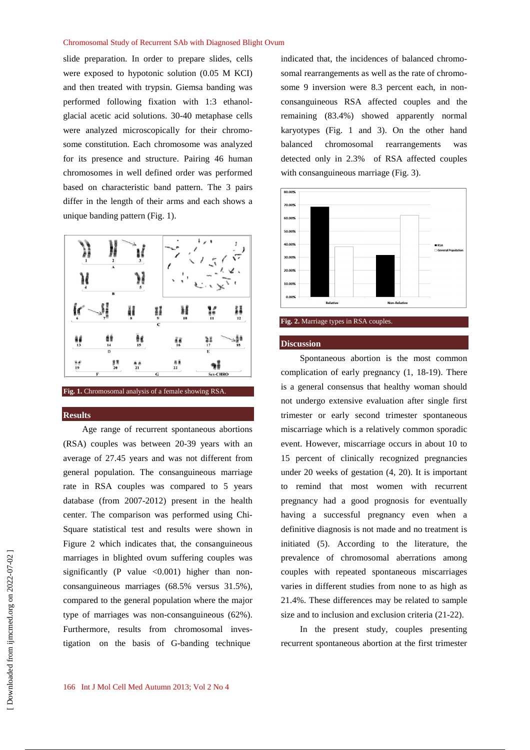### Chromosomal Study of Recurrent SAb with Diagnosed Blight Ovum

slide preparation. In order to prepare slides, cells were exposed to hypotonic solution (0.05 M KCI) and then treated with trypsin. Giemsa banding was performed following fixation with 1:3 ethanolglacial acetic acid solutions. 30-40 metaphase cells were analyzed microscopically for their chromosome constitution. Each chromosome was analyzed for its presence and structure. Pairing 46 human chromosomes in well defined order was performed based on characteristic band pattern. The 3 pairs differ in the length of their arms and each shows a unique banding pattern (Fig. 1).



**Fig. 1.** Chromosomal analysis of a female showing RSA.

## **Results**

Age range of recurrent spontaneous abortions (RSA) couples was between 20-39 years with an average of 27.45 years and was not different from general population. The consanguineous marriage rate in RSA couples was compared to 5 years database (from 2007-2012) present in the health center. The comparison was performed using Chi-Square statistical test and results were shown in Figure 2 which indicates that, the consanguineous marriages in blighted ovum suffering couples was significantly (P value  $\langle 0.001 \rangle$  higher than nonconsanguineous marriages (68.5% versus 31.5%), compared to the general population where the major type of marriages was non-consanguineous (62%). Furthermore, results from chromosomal investigation on the basis of G-banding technique

indicated that, the incidences of balanced chromosomal rearrangements as well as the rate of chromosome 9 inversion were 8.3 percent each, in nonconsanguineous RSA affected couples and the remaining (83.4%) showed apparently normal karyotypes (Fig. 1 and 3). On the other hand balanced chromosomal rearrangements was detected only in 2.3% of RSA affected couples with consanguineous marriage (Fig. 3).





#### **Discussion**

Spontaneous abortion is the most common complication of early pregnancy (1, 18-19). There is a general consensus that healthy woman should not undergo extensive evaluation after single first trimester or early second trimester spontaneous miscarriage which is a relatively common sporadic event. However, miscarriage occurs in about 10 to 15 percent of clinically recognized pregnancies under 20 weeks of gestation (4, 20). It is important to remind that most women with recurrent pregnancy had a good prognosis for eventually having a successful pregnancy even when a definitive diagnosis is not made and no treatment is initiated (5). According to the literature, the prevalence of chromosomal aberrations among couples with repeated spontaneous miscarriages varies in different studies from none to as high as 21.4%. These differences may be related to sample size and to inclusion and exclusion criteria (21-22).

In the present study, couples presenting recurrent spontaneous abortion at the first trimester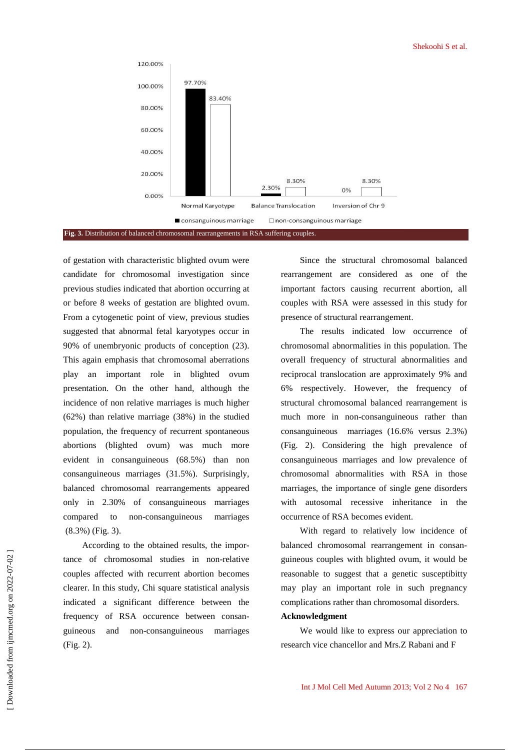

of gestation with characteristic blighted ovum were candidate for chromosomal investigation since previous studies indicated that abortion occurring at or before 8 weeks of gestation are blighted ovum. From a cytogenetic point of view, previous studies suggested that abnormal fetal karyotypes occur in 90% of unembryonic products of conception (23). This again emphasis that chromosomal aberrations play an important role in blighted ovum presentation. On the other hand, although the incidence of non relative marriages is much higher (62%) than relative marriage (38%) in the studied population, the frequency of recurrent spontaneous abortions (blighted ovum) was much more evident in consanguineous (68.5%) than non consanguineous marriages (31.5%). Surprisingly, balanced chromosomal rearrangements appeared only in 2.30% of consanguineous marriages compared to non-consanguineous marriages (8.3%) (Fig. 3).

According to the obtained results, the importance of chromosomal studies in non-relative couples affected with recurrent abortion becomes clearer. In this study, Chi square statistical analysis indicated a significant difference between the frequency of RSA occurence between consanguineous and non-consanguineous marriages (Fig. 2).

Since the structural chromosomal balanced rearrangement are considered as one of the important factors causing recurrent abortion, all couples with RSA were assessed in this study for presence of structural rearrangement.

The results indicated low occurrence of chromosomal abnormalities in this population. The overall frequency of structural abnormalities and reciprocal translocation are approximately 9% and 6% respectively. However, the frequency of structural chromosomal balanced rearrangement is much more in non-consanguineous rather than consanguineous marriages (16.6% versus 2.3%) (Fig. 2). Considering the high prevalence of consanguineous marriages and low prevalence of chromosomal abnormalities with RSA in those marriages, the importance of single gene disorders with autosomal recessive inheritance in the occurrence of RSA becomes evident.

With regard to relatively low incidence of balanced chromosomal rearrangement in consanguineous couples with blighted ovum, it would be reasonable to suggest that a genetic susceptibitty may play an important role in such pregnancy complications rather than chromosomal disorders.

## **Acknowledgment**

We would like to express our appreciation to research vice chancellor and Mrs.Z Rabani and F